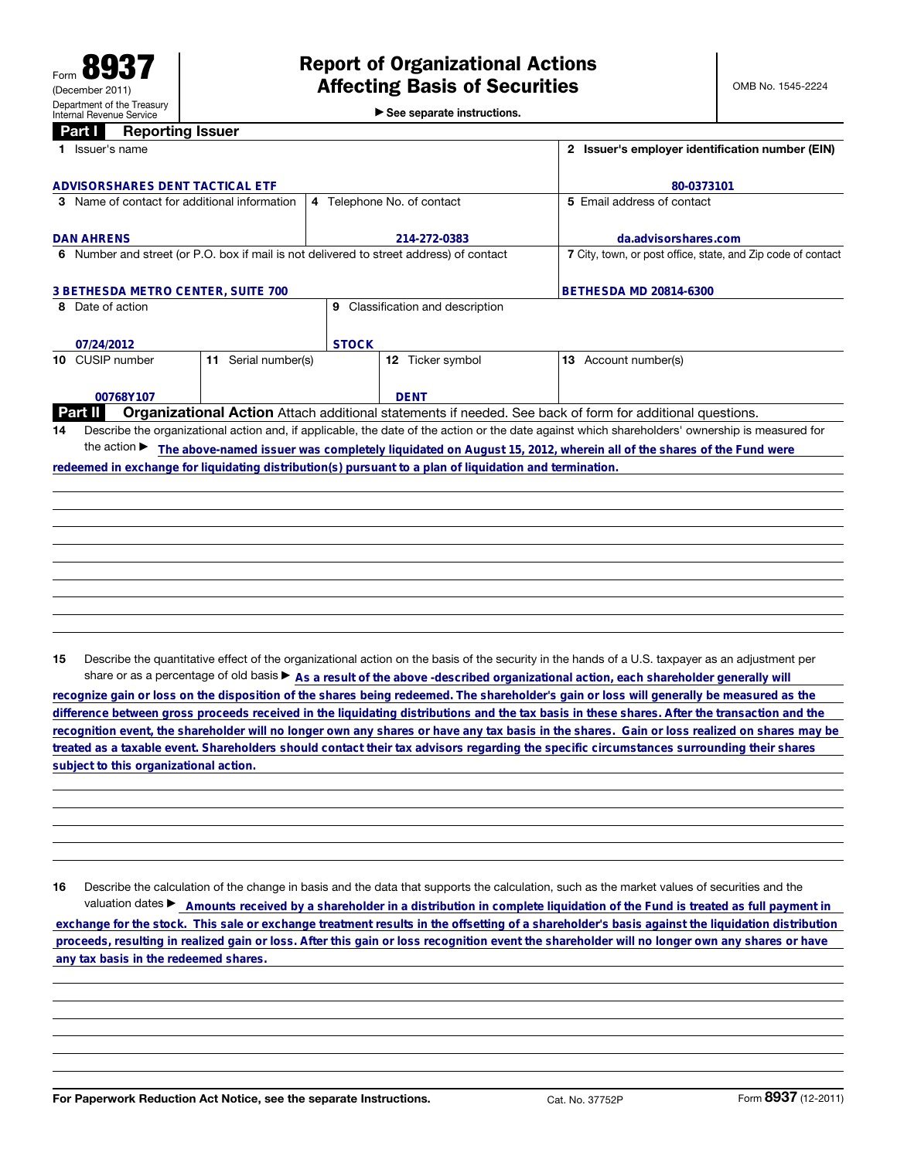▶ See separate instructions.

## **Part I** Reporting Issuer

| 1 Issuer's name                                                                                         |                                     | 2 Issuer's employer identification number (EIN)                                                                                                 |
|---------------------------------------------------------------------------------------------------------|-------------------------------------|-------------------------------------------------------------------------------------------------------------------------------------------------|
| ADVISORSHARES DENT TACTICAL ETF                                                                         |                                     | 80-0373101                                                                                                                                      |
| 3 Name of contact for additional information                                                            | 4 Telephone No. of contact          | 5 Email address of contact                                                                                                                      |
| <b>DAN AHRENS</b>                                                                                       | 214-272-0383                        | da.advisorshares.com                                                                                                                            |
| 6 Number and street (or P.O. box if mail is not delivered to street address) of contact                 |                                     | 7 City, town, or post office, state, and Zip code of contact                                                                                    |
| <b>3 BETHESDA METRO CENTER, SUITE 700</b>                                                               |                                     | <b>BETHESDA MD 20814-6300</b>                                                                                                                   |
| 8 Date of action                                                                                        | Classification and description<br>9 |                                                                                                                                                 |
| 07/24/2012                                                                                              | <b>STOCK</b>                        |                                                                                                                                                 |
| 11 Serial number(s)<br>10 CUSIP number                                                                  | Ticker symbol<br>12                 | 13 Account number(s)                                                                                                                            |
| 00768Y107                                                                                               | <b>DENT</b>                         |                                                                                                                                                 |
| <b>Part II</b>                                                                                          |                                     | Organizational Action Attach additional statements if needed. See back of form for additional questions.                                        |
| 14                                                                                                      |                                     | Describe the organizational action and, if applicable, the date of the action or the date against which shareholders' ownership is measured for |
| the action $\blacktriangleright$                                                                        |                                     | The above-named issuer was completely liquidated on August 15, 2012, wherein all of the shares of the Fund were                                 |
| redeemed in exchange for liquidating distribution(s) pursuant to a plan of liquidation and termination. |                                     |                                                                                                                                                 |
|                                                                                                         |                                     |                                                                                                                                                 |
|                                                                                                         |                                     |                                                                                                                                                 |
|                                                                                                         |                                     |                                                                                                                                                 |
|                                                                                                         |                                     |                                                                                                                                                 |
|                                                                                                         |                                     |                                                                                                                                                 |

15 Describe the quantitative effect of the organizational action on the basis of the security in the hands of a U.S. taxpayer as an adjustment per

share or as a percentage of old basis  $\triangleright$  As a result of the above -described organizational action, each shareholder generally will<br>recognize gain or loss on the disposition of the shares being redeemed. The shareholde **recognition event, the shareholder will no longer own any shares or have any tax basis in the shares. Gain or loss realized on shares may be treated as a taxable event. Shareholders should contact their tax advisors regarding the specific circumstances surrounding their shares**

16 Describe the calculation of the change in basis and the data that supports the calculation, such as the market values of securities and the valuation dates ► Amounts received by a shareholder in a distribution in complete liquidation of the Fund is treated as full payment in subject to this organizational action.<br>
16 Describe the calculation of the change in basis and the data that supports the calculation, such as the market values of securities and the<br>
valuation dates ▶ \_\_\_\_\_\_\_\_\_\_\_\_\_\_\_\_\_\_\_